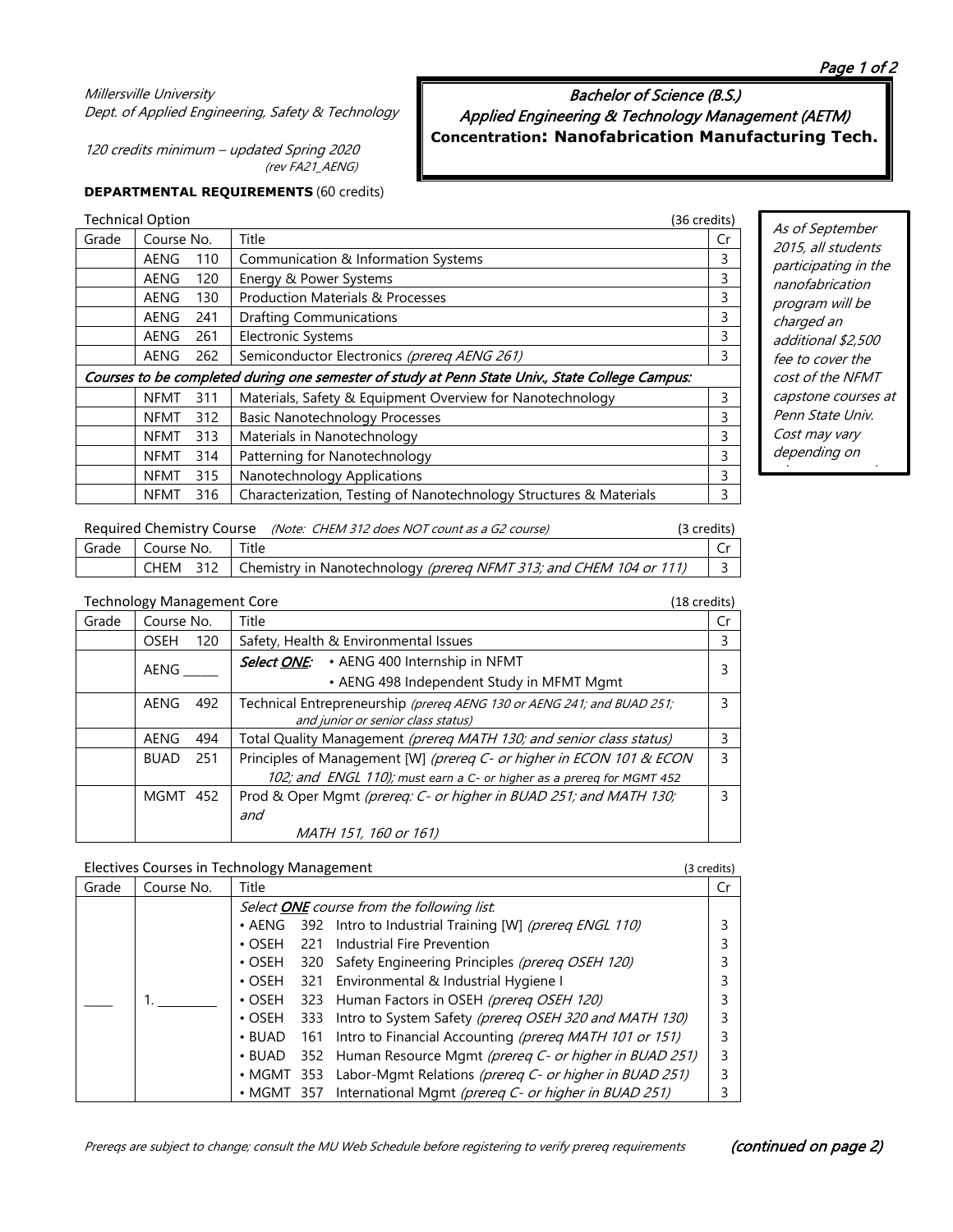## Millersville University Dept. of Applied Engineering, Safety & Technology

120 credits minimum – updated Spring 2020 (rev FA21\_AENG)

## **DEPARTMENTAL REQUIREMENTS** (60 credits)

#### Technical Option (36 credits)

| Grade                                                                                           | Course No.         |     | Title                                                              | Cr |
|-------------------------------------------------------------------------------------------------|--------------------|-----|--------------------------------------------------------------------|----|
|                                                                                                 | <b>AENG</b><br>110 |     | Communication & Information Systems                                | 3  |
|                                                                                                 | <b>AENG</b>        | 120 | Energy & Power Systems                                             | 3  |
|                                                                                                 | AENG               | 130 | <b>Production Materials &amp; Processes</b>                        | 3  |
|                                                                                                 | <b>AENG</b>        | 241 | <b>Drafting Communications</b>                                     | 3  |
|                                                                                                 | AENG               | 261 | <b>Electronic Systems</b>                                          | 3  |
|                                                                                                 | AENG               | 262 | Semiconductor Electronics (prereq AENG 261)                        | 3  |
| Courses to be completed during one semester of study at Penn State Univ., State College Campus: |                    |     |                                                                    |    |
|                                                                                                 | <b>NFMT</b>        | 311 | Materials, Safety & Equipment Overview for Nanotechnology          | 3  |
|                                                                                                 | <b>NFMT</b>        | 312 | <b>Basic Nanotechnology Processes</b>                              | 3  |
|                                                                                                 | <b>NFMT</b>        | 313 | Materials in Nanotechnology                                        | 3  |
|                                                                                                 | <b>NFMT</b>        | 314 | Patterning for Nanotechnology                                      | 3  |
|                                                                                                 | <b>NFMT</b>        | 315 | Nanotechnology Applications                                        | 3  |
|                                                                                                 | <b>NFMT</b>        | 316 | Characterization, Testing of Nanotechnology Structures & Materials | 3  |

As of September 2015, all students participating in the nanofabrication program will be charged an additional \$2,500 fee to cover the cost of the NFMT capstone courses at Penn State Univ. Cost may vary depending on <u>h linn ann an t-</u>

| Required Chemistry Course (Note: CHEM 312 does NOT count as a G2 course) | (3 credits) |
|--------------------------------------------------------------------------|-------------|
|                                                                          |             |

| l Grade | Course No. | Title                                                                       |  |
|---------|------------|-----------------------------------------------------------------------------|--|
|         |            | CHEM 312 Chemistry in Nanotechnology (prereg NFMT 313; and CHEM 104 or 111) |  |

## Technology Management Core (18 credits)

| Grade | Course No.         | Title                                                                  | Cr |  |  |
|-------|--------------------|------------------------------------------------------------------------|----|--|--|
|       | 120<br>OSEH        | Safety, Health & Environmental Issues                                  | 3  |  |  |
|       | AENG               | Select ONE: . AENG 400 Internship in NFMT                              |    |  |  |
|       |                    | • AENG 498 Independent Study in MFMT Mgmt                              |    |  |  |
|       | 492<br>AENG        | Technical Entrepreneurship (prereg AENG 130 or AENG 241; and BUAD 251; |    |  |  |
|       |                    | and junior or senior class status)                                     |    |  |  |
|       | 494<br>AENG        | Total Quality Management (prereq MATH 130; and senior class status)    | 3  |  |  |
|       | 251<br><b>BUAD</b> | Principles of Management [W] (prereq C- or higher in ECON 101 & ECON   | ς  |  |  |
|       |                    | 102; and ENGL 110); must earn a C- or higher as a prereg for MGMT 452  |    |  |  |
|       | MGMT 452           | Prod & Oper Mgmt (prereq: C- or higher in BUAD 251; and MATH 130;      |    |  |  |
|       |                    | and                                                                    |    |  |  |
|       |                    | MATH 151, 160 or 161)                                                  |    |  |  |

## Electives Courses in Technology Management (3 credits) and  $(3 \text{ credits})$

| Grade | Course No. | ັ<br>Title     |                                                                   | Cr |
|-------|------------|----------------|-------------------------------------------------------------------|----|
|       |            |                | Select <b>ONE</b> course from the following list.                 |    |
|       |            | $\bullet$ AENG | 392 Intro to Industrial Training [W] (prereq ENGL 110)            |    |
|       |            | $\cdot$ OSEH   | 221 Industrial Fire Prevention                                    |    |
|       |            | $\cdot$ OSEH   | 320 Safety Engineering Principles (prereq OSEH 120)               |    |
|       |            |                | • OSEH 321 Environmental & Industrial Hygiene I                   |    |
|       |            | $\cdot$ OSEH   | 323 Human Factors in OSEH (prereq OSEH 120)                       |    |
|       |            | $\cdot$ OSEH   | 333 Intro to System Safety (prereq OSEH 320 and MATH 130)         |    |
|       |            | $\cdot$ BUAD   | 161 Intro to Financial Accounting (prereq MATH 101 or 151)        |    |
|       |            | $\cdot$ BUAD   | 352 Human Resource Mgmt (prereq C- or higher in BUAD 251)         |    |
|       |            |                | • MGMT 353 Labor-Mgmt Relations (prereq C- or higher in BUAD 251) |    |
|       |            | • MGMT 357     | International Mgmt (prereq C- or higher in BUAD 251)              |    |

Bachelor of Science (B.S.) Applied Engineering & Technology Management (AETM) **Concentration: Nanofabrication Manufacturing Tech.**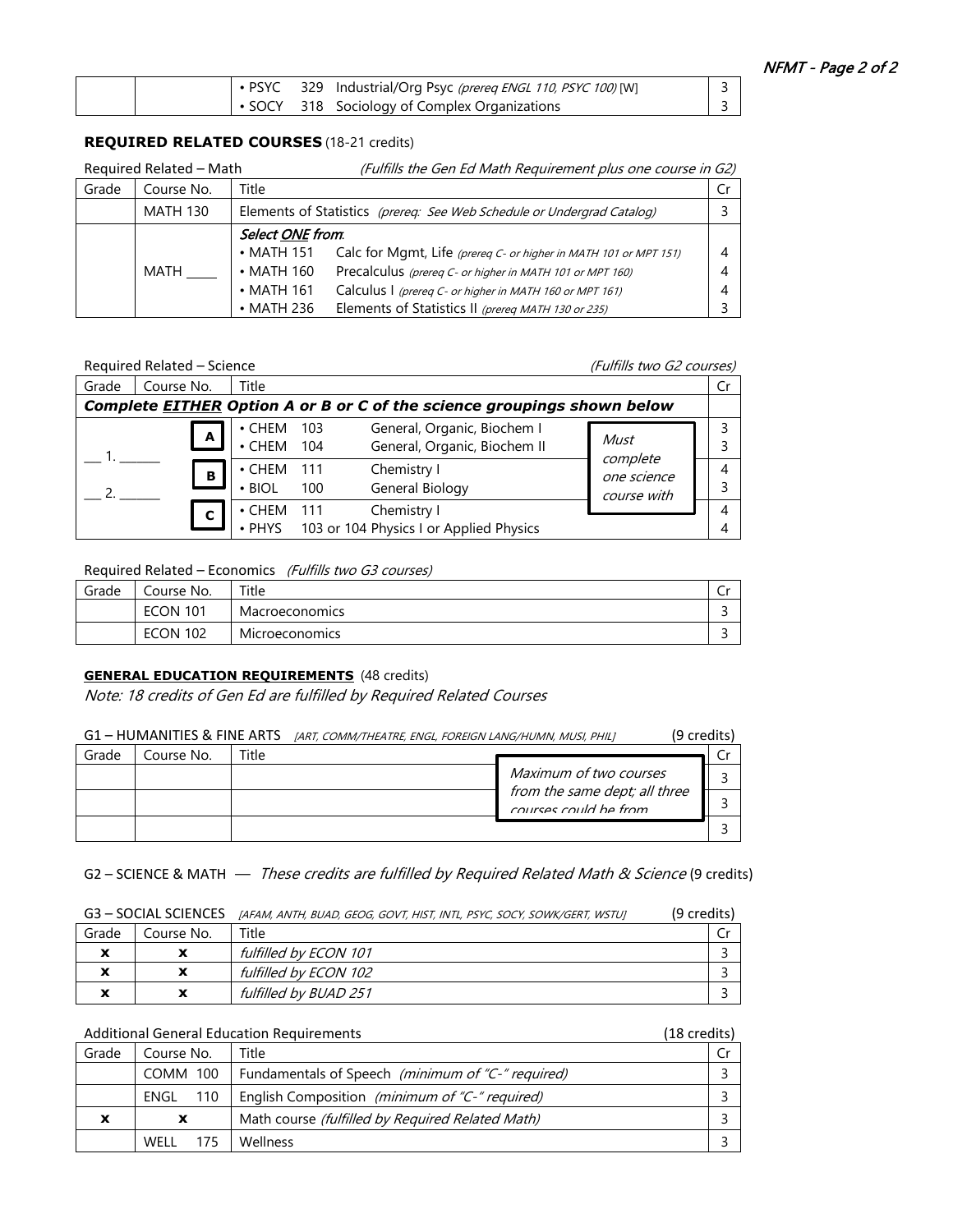|  |  | . PSYC 329 Industrial/Org Psyc (prereq ENGL 110, PSYC 100) [W] | ັ |
|--|--|----------------------------------------------------------------|---|
|  |  | • SOCY 318 Sociology of Complex Organizations                  |   |

## **REQUIRED RELATED COURSES** (18-21 credits)

| Required Related - Math |                 |                  | (Fulfills the Gen Ed Math Requirement plus one course in G2)           |   |  |
|-------------------------|-----------------|------------------|------------------------------------------------------------------------|---|--|
| Grade                   | Course No.      | Title            |                                                                        |   |  |
|                         | <b>MATH 130</b> |                  | Elements of Statistics (prereq: See Web Schedule or Undergrad Catalog) |   |  |
|                         |                 | Select ONE from. |                                                                        |   |  |
|                         |                 | $\cdot$ MATH 151 | Calc for Mgmt, Life (prereg C- or higher in MATH 101 or MPT 151)       | 4 |  |
|                         | <b>MATH</b>     | $\cdot$ MATH 160 | Precalculus (prereq C- or higher in MATH 101 or MPT 160)               | 4 |  |
|                         |                 | • MATH 161       | Calculus I (prereq C- or higher in MATH 160 or MPT 161)                | 4 |  |
|                         |                 | $\cdot$ MATH 236 | Elements of Statistics II (prereq MATH 130 or 235)                     |   |  |

## Required Related – Science (Fulfills two G2 courses)

| Grade | Course No.                                                                     | Title        |     |                                         |                         | Cr |
|-------|--------------------------------------------------------------------------------|--------------|-----|-----------------------------------------|-------------------------|----|
|       | <b>Complete EITHER Option A or B or C of the science groupings shown below</b> |              |     |                                         |                         |    |
|       | A                                                                              | $\cdot$ CHEM | 103 | General, Organic, Biochem I             |                         |    |
|       |                                                                                | $\cdot$ CHEM | 104 | General, Organic, Biochem II            | Must                    |    |
|       | B                                                                              | $\cdot$ CHEM | 111 | Chemistry I                             | complete<br>one science |    |
|       |                                                                                | $\cdot$ BIOL | 100 | General Biology                         | course with             |    |
|       |                                                                                | $\cdot$ CHEM | 111 | Chemistry I                             |                         |    |
|       |                                                                                | • PHYS       |     | 103 or 104 Physics I or Applied Physics |                         |    |

## Required Related – Economics (Fulfills two G3 courses)

| Grade | Course No.      | Title                 |     |
|-------|-----------------|-----------------------|-----|
|       | <b>ECON 101</b> | <b>Macroeconomics</b> | ◡   |
|       | <b>ECON 102</b> | <b>Microeconomics</b> | . . |

# **GENERAL EDUCATION REQUIREMENTS** (48 credits)

Note: 18 credits of Gen Ed are fulfilled by Required Related Courses

| G1 - HUMANITIES & FINE ARTS |            |       | [ART, COMM/THEATRE, ENGL, FOREIGN LANG/HUMN, MUSI, PHIL] | (9 credits)                                            |  |
|-----------------------------|------------|-------|----------------------------------------------------------|--------------------------------------------------------|--|
| Grade                       | Course No. | Title |                                                          |                                                        |  |
|                             |            |       |                                                          | Maximum of two courses                                 |  |
|                             |            |       |                                                          | from the same dept; all three<br>courses could be from |  |
|                             |            |       |                                                          |                                                        |  |

G2 – SCIENCE & MATH — These credits are fulfilled by Required Related Math & Science (9 credits)

| G3 - SOCIAL SCIENCES [AFAM, ANTH, BUAD, GEOG, GOVT, HIST, INTL, PSYC, SOCY, SOWK/GERT, WSTUJ | (9 credits) |
|----------------------------------------------------------------------------------------------|-------------|
|----------------------------------------------------------------------------------------------|-------------|

| Grade                      | Course No. | Title                 | ◡ |
|----------------------------|------------|-----------------------|---|
| ~                          |            | fulfilled by ECON 101 |   |
|                            | x          | fulfilled by ECON 102 |   |
| $\boldsymbol{\mathcal{L}}$ | x          | fulfilled by BUAD 251 |   |

## Additional General Education Requirements (18 credits)

| Grade | Course No.                                       | Title                                             |  |
|-------|--------------------------------------------------|---------------------------------------------------|--|
|       | COMM 100                                         | Fundamentals of Speech (minimum of "C-" required) |  |
|       | ENGL<br>110                                      | English Composition (minimum of "C-" required)    |  |
|       | Math course (fulfilled by Required Related Math) |                                                   |  |
|       | WFII                                             | Wellness                                          |  |